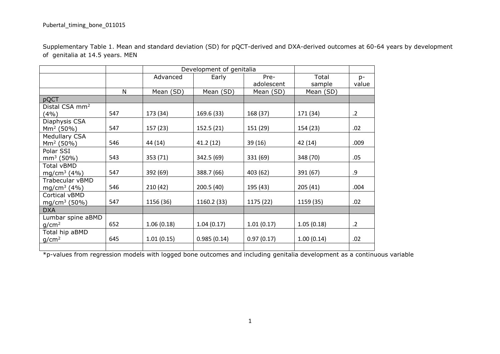Supplementary Table 1. Mean and standard deviation (SD) for pQCT-derived and DXA-derived outcomes at 60-64 years by development of genitalia at 14.5 years. MEN

|                            |     |                           | Development of genitalia |            |            |            |
|----------------------------|-----|---------------------------|--------------------------|------------|------------|------------|
|                            |     | Early<br>Pre-<br>Advanced |                          | Total      | $p-$       |            |
|                            |     | adolescent                |                          | sample     | value      |            |
|                            | N   | Mean (SD)                 | Mean (SD)                | Mean (SD)  | Mean (SD)  |            |
| pQCT                       |     |                           |                          |            |            |            |
| Distal CSA mm <sup>2</sup> |     |                           |                          |            |            |            |
| (4%)                       | 547 | 173 (34)                  | 169.6 (33)               | 168 (37)   | 171 (34)   | $\cdot$ .2 |
| Diaphysis CSA              |     |                           |                          |            |            |            |
| $Mm2$ (50%)                | 547 | 157 (23)                  | 152.5 (21)               | 151 (29)   | 154 (23)   | .02        |
| <b>Medullary CSA</b>       |     |                           |                          |            |            |            |
| $Mm2$ (50%)                | 546 | 44 (14)                   | 41.2 (12)                | 39 (16)    | 42 (14)    | .009       |
| Polar SSI                  |     |                           |                          |            |            |            |
| $mm3$ (50%)                | 543 | 353 (71)                  | 342.5 (69)               | 331 (69)   | 348 (70)   | .05        |
| Total vBMD                 |     |                           |                          |            |            |            |
| mg/cm <sup>3</sup> (4%)    | 547 | 392 (69)                  | 388.7 (66)               | 403 (62)   | 391 (67)   | .9         |
| Trabecular vBMD            |     |                           |                          |            |            |            |
| mg/cm <sup>3</sup> (4%)    | 546 | 210(42)                   | 200.5(40)                | 195 (43)   | 205(41)    | .004       |
| Cortical vBMD              |     |                           |                          |            |            |            |
| mg/cm <sup>3</sup> (50%)   | 547 | 1156 (36)                 | 1160.2 (33)              | 1175 (22)  | 1159 (35)  | .02        |
| <b>DXA</b>                 |     |                           |                          |            |            |            |
| Lumbar spine aBMD          |     |                           |                          |            |            |            |
| g/cm <sup>2</sup>          | 652 | 1.06(0.18)                | 1.04(0.17)               | 1.01(0.17) | 1.05(0.18) | $\cdot$ .2 |
| Total hip aBMD             |     |                           |                          |            |            |            |
| g/cm <sup>2</sup>          | 645 | 1.01(0.15)                | 0.985(0.14)              | 0.97(0.17) | 1.00(0.14) | .02        |
|                            |     |                           |                          |            |            |            |

\*p-values from regression models with logged bone outcomes and including genitalia development as a continuous variable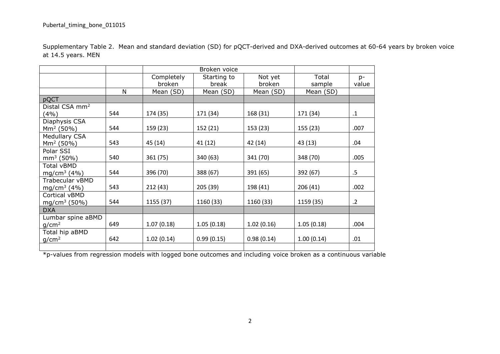Supplementary Table 2. Mean and standard deviation (SD) for pQCT-derived and DXA-derived outcomes at 60-64 years by broken voice at 14.5 years. MEN

|                            |     |            | Broken voice |            |            |            |
|----------------------------|-----|------------|--------------|------------|------------|------------|
|                            |     | Completely | Starting to  | Not yet    | Total      | $p-$       |
|                            |     | broken     | break        | broken     | sample     | value      |
|                            | N   | Mean (SD)  | Mean (SD)    | Mean (SD)  | Mean (SD)  |            |
| pQCT                       |     |            |              |            |            |            |
| Distal CSA mm <sup>2</sup> |     |            |              |            |            |            |
| (4%)                       | 544 | 174 (35)   | 171 (34)     | 168 (31)   | 171 (34)   | $\cdot$ 1  |
| Diaphysis CSA              |     |            |              |            |            |            |
| $\rm Mm^2$ (50%)           | 544 | 159 (23)   | 152 (21)     | 153 (23)   | 155 (23)   | .007       |
| Medullary CSA              |     |            |              |            |            |            |
| $Mm2$ (50%)                | 543 | 45 (14)    | 41 (12)      | 42 (14)    | 43 (13)    | .04        |
| Polar SSI                  |     |            |              |            |            |            |
| $mm3$ (50%)                | 540 | 361 (75)   | 340 (63)     | 341 (70)   | 348 (70)   | .005       |
| Total vBMD                 |     |            |              |            |            |            |
| mg/cm <sup>3</sup> (4%)    | 544 | 396 (70)   | 388 (67)     | 391 (65)   | 392 (67)   | $.5\,$     |
| Trabecular vBMD            |     |            |              |            |            |            |
| mg/cm <sup>3</sup> (4%)    | 543 | 212 (43)   | 205 (39)     | 198 (41)   | 206(41)    | .002       |
| Cortical vBMD              |     |            |              |            |            |            |
| mg/cm <sup>3</sup> (50%)   | 544 | 1155 (37)  | 1160 (33)    | 1160 (33)  | 1159 (35)  | $\cdot$ .2 |
| <b>DXA</b>                 |     |            |              |            |            |            |
| Lumbar spine aBMD          |     |            |              |            |            |            |
| g/cm <sup>2</sup>          | 649 | 1.07(0.18) | 1.05(0.18)   | 1.02(0.16) | 1.05(0.18) | .004       |
| Total hip aBMD             |     |            |              |            |            |            |
| g/cm <sup>2</sup>          | 642 | 1.02(0.14) | 0.99(0.15)   | 0.98(0.14) | 1.00(0.14) | .01        |
|                            |     |            |              |            |            |            |

\*p-values from regression models with logged bone outcomes and including voice broken as a continuous variable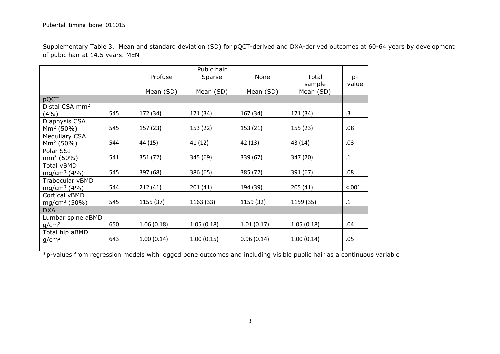|                                  | Supplementary Table 3. Mean and standard deviation (SD) for pQCT-derived and DXA-derived outcomes at 60-64 years by development |
|----------------------------------|---------------------------------------------------------------------------------------------------------------------------------|
| of pubic hair at 14.5 years. MEN |                                                                                                                                 |

|                            |     |                           | Pubic hair                          |            |            |           |
|----------------------------|-----|---------------------------|-------------------------------------|------------|------------|-----------|
|                            |     | Profuse<br>None<br>Sparse |                                     | Total      | $p-$       |           |
|                            |     |                           |                                     |            | sample     | value     |
|                            |     | Mean (SD)                 | Mean (SD)                           | Mean (SD)  | Mean (SD)  |           |
| pQCT                       |     |                           |                                     |            |            |           |
| Distal CSA mm <sup>2</sup> |     |                           |                                     |            |            |           |
| (4%)                       | 545 | 172 (34)                  | 171 (34)                            | 167 (34)   | 171 (34)   | .3        |
| Diaphysis CSA              |     |                           |                                     |            |            |           |
| $Mm2$ (50%)                | 545 | 157 (23)                  | 153 (22)                            | 153 (21)   | 155 (23)   | .08       |
| Medullary CSA              |     |                           |                                     |            |            |           |
| $Mm2$ (50%)                | 544 | 44 (15)                   | 41 (12)                             | 42 (13)    | 43 (14)    | .03       |
| Polar SSI                  |     |                           |                                     |            |            |           |
| $mm3$ (50%)                | 541 | 351 (72)                  | 345 (69)                            | 339 (67)   | 347 (70)   | $\cdot$ 1 |
| Total vBMD                 |     |                           |                                     |            |            |           |
| mg/cm <sup>3</sup> (4%)    | 545 | 397 (68)                  | 386 (65)                            | 385 (72)   | 391 (67)   | .08       |
| Trabecular vBMD            |     |                           |                                     |            |            |           |
| mg/cm <sup>3</sup> (4%)    | 544 | 212(41)                   | 201(41)                             | 194 (39)   | 205(41)    | < .001    |
| Cortical vBMD              |     |                           |                                     |            |            |           |
| mg/cm <sup>3</sup> (50%)   | 545 |                           | 1155 (37)<br>1163 (33)<br>1159 (32) |            | 1159 (35)  | $\cdot$ 1 |
| <b>DXA</b>                 |     |                           |                                     |            |            |           |
| Lumbar spine aBMD          |     |                           |                                     |            |            |           |
| g/cm <sup>2</sup>          | 650 | 1.06(0.18)                | 1.05(0.18)                          | 1.01(0.17) | 1.05(0.18) | .04       |
| Total hip aBMD             |     |                           |                                     |            |            |           |
| g/cm <sup>2</sup>          | 643 | 1.00(0.14)                | 1.00(0.15)                          | 0.96(0.14) | 1.00(0.14) | .05       |
|                            |     |                           |                                     |            |            |           |

\*p-values from regression models with logged bone outcomes and including visible public hair as a continuous variable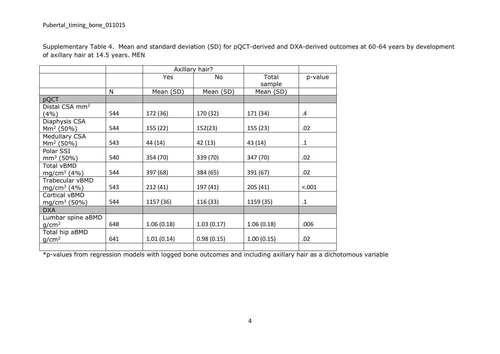Supplementary Table 4. Mean and standard deviation (SD) for pQCT-derived and DXA-derived outcomes at 60-64 years by development of axillary hair at 14.5 years. MEN

|                            |     |            | Axillary hair? |            |           |
|----------------------------|-----|------------|----------------|------------|-----------|
|                            |     | Yes<br>No  |                | Total      | p-value   |
|                            |     |            |                | sample     |           |
|                            | N   | Mean (SD)  | Mean (SD)      | Mean (SD)  |           |
| pQCT                       |     |            |                |            |           |
| Distal CSA mm <sup>2</sup> |     |            |                |            |           |
| (4%)                       | 544 | 172 (36)   | 170 (32)       | 171 (34)   | .4        |
| Diaphysis CSA              |     |            |                |            |           |
| $Mm2$ (50%)                | 544 | 155 (22)   | 152(23)        | 155 (23)   | .02       |
| <b>Medullary CSA</b>       |     |            |                |            |           |
| $Mm2$ (50%)                | 543 | 44 (14)    | 42 (13)        | 43 (14)    | $\cdot$ 1 |
| Polar SSI                  |     |            |                |            |           |
| $mm3$ (50%)                | 540 | 354 (70)   | 339 (70)       | 347 (70)   | .02       |
| Total vBMD                 |     |            |                |            |           |
| mg/cm <sup>3</sup> (4%)    | 544 | 397 (68)   | 384 (65)       | 391 (67)   | .02       |
| Trabecular vBMD            |     |            |                |            |           |
| mg/cm <sup>3</sup> (4%)    | 543 | 212 (41)   | 197 (41)       | 205(41)    | < .001    |
| Cortical vBMD              |     |            |                |            |           |
| mg/cm <sup>3</sup> (50%)   | 544 | 1157 (36)  | 116 (33)       | 1159 (35)  | $\cdot$ 1 |
| <b>DXA</b>                 |     |            |                |            |           |
| Lumbar spine aBMD          |     |            |                |            |           |
| g/cm <sup>2</sup>          | 648 | 1.06(0.18) | 1.03(0.17)     | 1.06(0.18) | .006      |
| Total hip aBMD             |     |            |                |            |           |
| g/cm <sup>2</sup>          | 641 | 1.01(0.14) | 0.98(0.15)     | 1.00(0.15) | .02       |
|                            |     |            |                |            |           |

\*p-values from regression models with logged bone outcomes and including axillary hair as a dichotomous variable